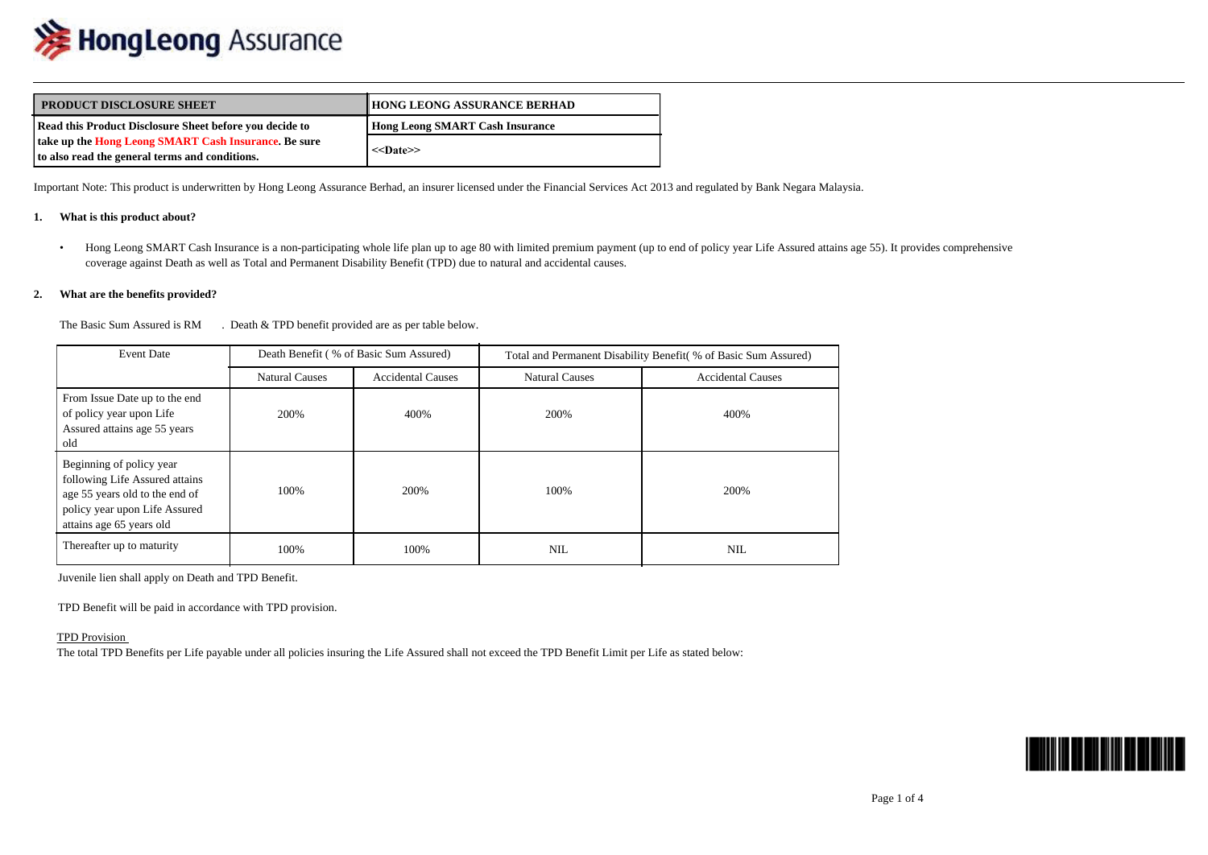

| <b>WE HUNGLEDING</b> ASSUMING                                                                                                                                                                                |                                                                                                                      |                                                                                                                                                                                                    |
|--------------------------------------------------------------------------------------------------------------------------------------------------------------------------------------------------------------|----------------------------------------------------------------------------------------------------------------------|----------------------------------------------------------------------------------------------------------------------------------------------------------------------------------------------------|
| <b>PRODUCT DISCLOSURE SHEET</b>                                                                                                                                                                              | <b>HONG LEONG ASSURANCE BERHAD</b>                                                                                   |                                                                                                                                                                                                    |
| Read this Product Disclosure Sheet before you decide to                                                                                                                                                      | <b>Hong Leong SMART Cash Insurance</b>                                                                               |                                                                                                                                                                                                    |
| take up the Hong Leong SMART Cash Insurance. Be sure<br>to also read the general terms and conditions.                                                                                                       | $<$ Date>>                                                                                                           |                                                                                                                                                                                                    |
| Important Note: This product is underwritten by Hong Leong Assurance Berhad, an insurer licensed under the Financial Services Act 2013 and regulated by Bank Negara Malaysia.<br>What is this product about? |                                                                                                                      |                                                                                                                                                                                                    |
|                                                                                                                                                                                                              | coverage against Death as well as Total and Permanent Disability Benefit (TPD) due to natural and accidental causes. | Hong Leong SMART Cash Insurance is a non-participating whole life plan up to age 80 with limited premium payment (up to end of policy year Life Assured attains age 55). It provides comprehensive |
| What are the benefits provided?<br>2.                                                                                                                                                                        |                                                                                                                      |                                                                                                                                                                                                    |

## **2. What are the benefits provided?**

The Basic Sum Assured is RM . Death & TPD benefit provided are as per table below.

| <b>Event Date</b>                                                                                                                                         | Death Benefit (% of Basic Sum Assured) |                          | Total and Permanent Disability Benefit (% of Basic Sum Assured) |                          |  |
|-----------------------------------------------------------------------------------------------------------------------------------------------------------|----------------------------------------|--------------------------|-----------------------------------------------------------------|--------------------------|--|
|                                                                                                                                                           | <b>Natural Causes</b>                  | <b>Accidental Causes</b> | <b>Natural Causes</b>                                           | <b>Accidental Causes</b> |  |
| From Issue Date up to the end<br>of policy year upon Life<br>Assured attains age 55 years<br>old                                                          | 200%                                   | 400%                     | 200%                                                            | 400%                     |  |
| Beginning of policy year<br>following Life Assured attains<br>age 55 years old to the end of<br>policy year upon Life Assured<br>attains age 65 years old | 100%                                   | 200%                     | 100%                                                            | 200%                     |  |
| Thereafter up to maturity                                                                                                                                 | 100%                                   | 100%                     | NIL                                                             | <b>NIL</b>               |  |

Juvenile lien shall apply on Death and TPD Benefit.

TPD Benefit will be paid in accordance with TPD provision.

## TPD Provision

The total TPD Benefits per Life payable under all policies insuring the Life Assured shall not exceed the TPD Benefit Limit per Life as stated below:

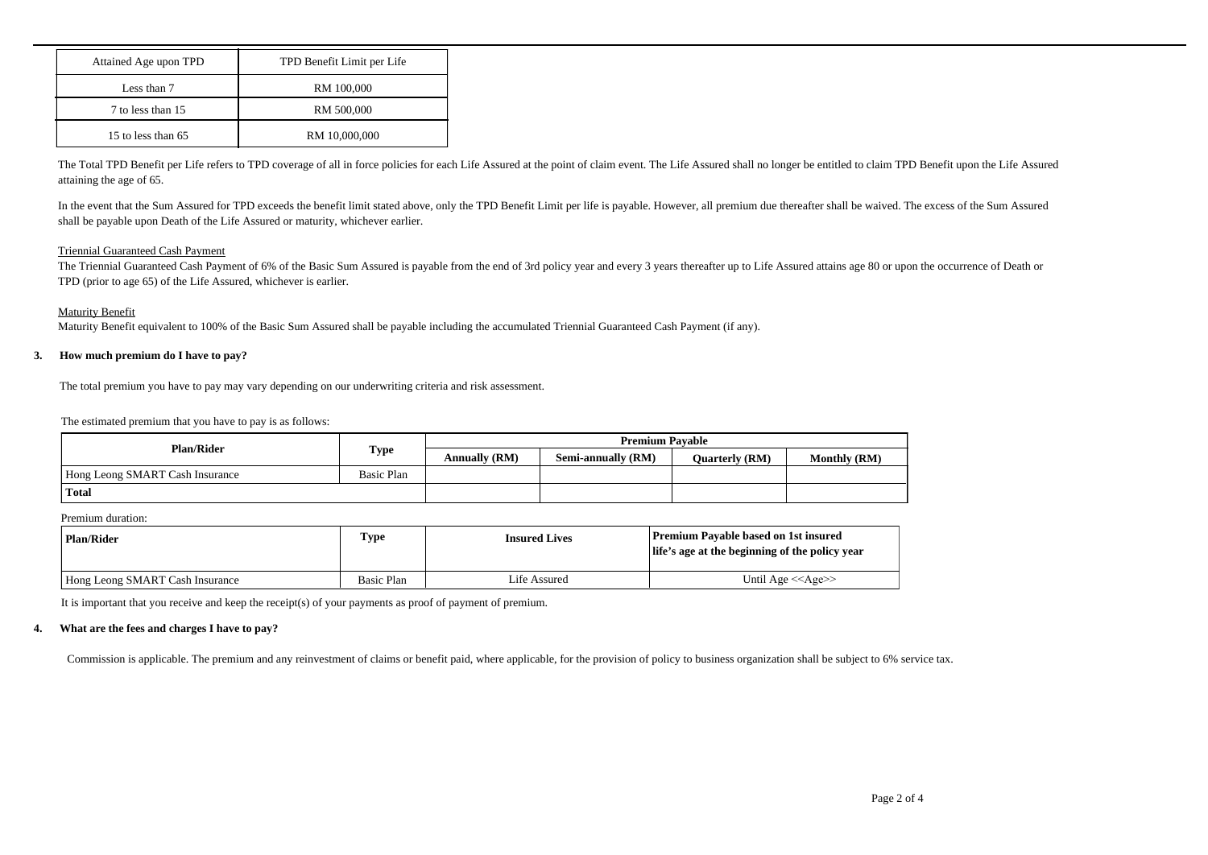| Attained Age upon TPD | TPD Benefit Limit per Life |  |
|-----------------------|----------------------------|--|
| Less than 7           | RM 100,000                 |  |
| 7 to less than 15     | RM 500,000                 |  |
| 15 to less than 65    | RM 10,000,000              |  |

The Total TPD Benefit per Life refers to TPD coverage of all in force policies for each Life Assured at the point of claim event. The Life Assured shall no longer be entitled to claim TPD Benefit upon the Life Assured attaining the age of 65.

In the event that the Sum Assured for TPD exceeds the benefit limit stated above, only the TPD Benefit Limit per life is payable. However, all premium due thereafter shall be waived. The excess of the Sum Assured shall be payable upon Death of the Life Assured or maturity, whichever earlier. In the event that the Sum Assured for TPD exceeds the benefit li<br>shall be payable upon Death of the Life Assured or maturity, whi<br>Triennial Guaranteed Cash Payment<br>The Triennial Guaranteed Cash Payment<br>of 6% of the Basic S

## Triennial Guaranteed Cash Payment

The Triennial Guaranteed Cash Payment of 6% of the Basic Sum Assured is payable from the end of 3rd policy year and every 3 years thereafter up to Life Assured attains age 80 or upon the occurrence of Death or TPD (prior to age 65) of the Life Assured, whichever is earlier.

## Maturity Benefit

Maturity Benefit equivalent to 100% of the Basic Sum Assured shall be payable including the accumulated Triennial Guaranteed Cash Payment (if any).

The total premium you have to pay may vary depending on our underwriting criteria and risk assessment.

The estimated premium that you have to pay is as follows:

| <b>Plan/Rider</b>               |             | <b>Premium Pavable</b> |                    |                       |                     |
|---------------------------------|-------------|------------------------|--------------------|-----------------------|---------------------|
|                                 | <b>Type</b> | <b>Annually (RM)</b>   | Semi-annually (RM) | <b>Ouarterly (RM)</b> | <b>Monthly (RM)</b> |
| Hong Leong SMART Cash Insurance | Basic Plan  |                        |                    |                       |                     |
| <b>Total</b>                    |             |                        |                    |                       |                     |

|                                                                                                           | . .               | <b>Annually (RM)</b> | Semi-annually (RM)   | <b>Quarterly (RM)</b>                                                                         | <b>Monthly (RM)</b> |
|-----------------------------------------------------------------------------------------------------------|-------------------|----------------------|----------------------|-----------------------------------------------------------------------------------------------|---------------------|
| Hong Leong SMART Cash Insurance                                                                           | <b>Basic Plan</b> |                      |                      |                                                                                               |                     |
| Total                                                                                                     |                   |                      |                      |                                                                                               |                     |
| Premium duration:                                                                                         |                   |                      |                      |                                                                                               |                     |
| <b>Plan/Rider</b>                                                                                         | <b>Type</b>       |                      | <b>Insured Lives</b> | <b>Premium Payable based on 1st insured</b><br>life's age at the beginning of the policy year |                     |
| Hong Leong SMART Cash Insurance                                                                           | <b>Basic Plan</b> | Life Assured         |                      | Until Age $<<$ Age $>>$                                                                       |                     |
| It is important that you receive and keep the receipt(s) of your payments as proof of payment of premium. |                   |                      |                      |                                                                                               |                     |
| What are the fees and charges I have to pay?                                                              |                   |                      |                      |                                                                                               |                     |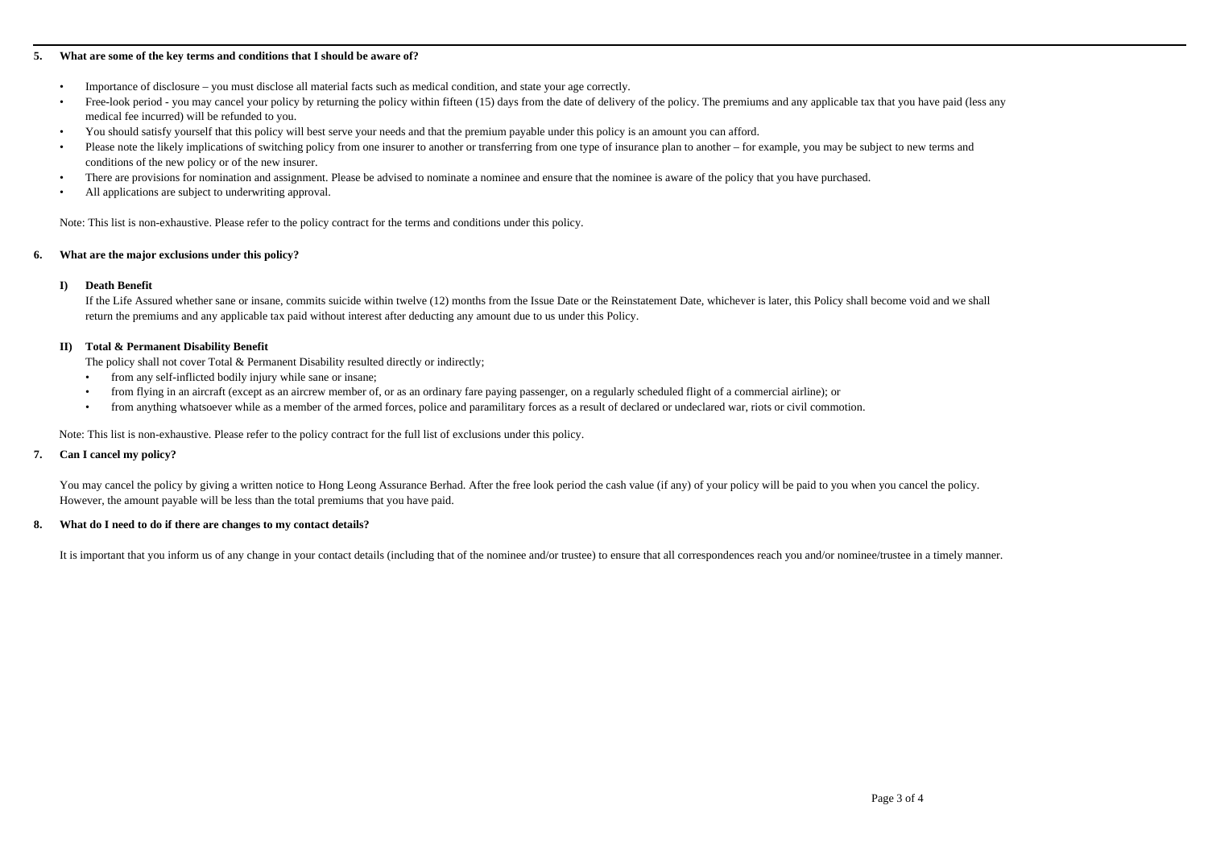- 
- **5.** What are some of the key terms and conditions that I should be aware of?<br>
 Importance of disclosure you must disclose all material facts such as medical condition, and st<br>
 Free-look period you may cancel your p • Importance of the key terms and conditions that I should be aware of?<br>• Importance of disclosure – you must disclose all material facts such as medical condition, and state your age correctly.<br>• Free-look period - you ma **•**<br>• Importance of disclosure – you must disclose all material facts such as medical condition, and state your age correctly.<br>• Free-look period - you may cancel your policy by returning the policy within fifteen (15) da medical fee incurred) will be refunded to you. **• Plushed and Solutions of the likely terms and conditions that I should be aware of?**<br>
• **Proce-look period - you must disclose all material facts such as medical condition, and state your age correctly.<br>
• Prec-look pe** 
	- You should satisfy yourself that this policy will best serve your needs and that the premium payable under this policy is an amount you can afford.
- conditions of the new policy or of the new insurer. **• There are provisions for nominations that I should be aware of?**<br>
• Importance of disclosure – you must disclose all material facts such as medical condition, and state your age correctly.<br>
• Free-look period - you may **What are some of the key terms and conditions that I should be aw**<br>
• Importance of disclosure – you must disclose all material facts su<br>
• Free-look period - you may cancel your policy by returning the p<br>
medical fee inc • Importance of disclosure – you must disclose all material facts such as<br>**•** Free-look period - you may cancel your policy by returning the policy<br>medical fee incurred) will be refunded to you.<br>**•** You should satisfy your medical fee incurred) will be r<br>
You should satisfy yourself th<br>
Please note the likely implicat<br>
conditions of the new policy o<br>
There are provisions for nomin<br>
All applications are subject to<br>
Note: This list is non-exha
	-
	-

Note: This list is non-exhaustive. Please refer to the policy contract for the terms and conditions under this policy.

If the Life Assured whether sane or insane, commits suicide within twelve (12) months from the Issue Date or the Reinstatement Date, whichever is later, this Policy shall become void and we shall return the premiums and any applicable tax paid without interest after deducting any amount due to us under this Policy. There are provisions for nomination and assignment. P<br> **II** All applications are subject to underwriting approval.<br>
Note: This list is non-exhaustive. Please refer to the policy co<br> **IV** What are the major exclusions under This list is non-exhaustive. Please refer to the policy contract for the terms at are the major exclusions under this policy?<br>
Death Benefit<br>
If the Life Assured whether sane or insane, commits suicide within twelve (1<br>
re This list is non-exhaustive. Please refer to the policy contract for the terms and conditions under this policy.<br> **Death Benefit**<br>
If the Life Assured whether sane or insane, commits suicide within twelve (12) months from **Example 12**<br> **Example 16 For a member of the Life Assured whether sane or insane, commits suicide within twelve (12) months from the Issue Date or the Reinstatement Date, whichever is later, this Policy shall become voer<br>** 

The policy shall not cover Total  $&$  Permanent Disability resulted directly or indirectly;

- 
- 
- 

Note: This list is non-exhaustive. Please refer to the policy contract for the full list of exclusions under this policy.

**7. Death Benefit**<br> **17. Death Benefit**<br> **17. Total & Permanent Disability Benefit**<br> **17. Total & Permanent Disability Benefit**<br> **17. Total & Permanent Disability Benefit**<br> **17. 17. 17. 18. 18. 18. 18. 18.** You may cancel the policy by giving a written notice to Hong Leong Assurance Berhad. After the free look period the cash value (if any) of your policy will be paid to you when you cancel the policy. However, the amount payable will be less than the total premiums that you have paid. The policy shall not cover Total & Permanent Disability resulted directly or indirectly<br>
• from any self-inflicted bodily injury while sane or insane;<br>
• from flying in an aircraft (except as an aircrew member of, or as an

It is important that you inform us of any change in your contact details (including that of the nominee and/or trustee) to ensure that all correspondences reach you and/or nominee/trustee in a timely manner.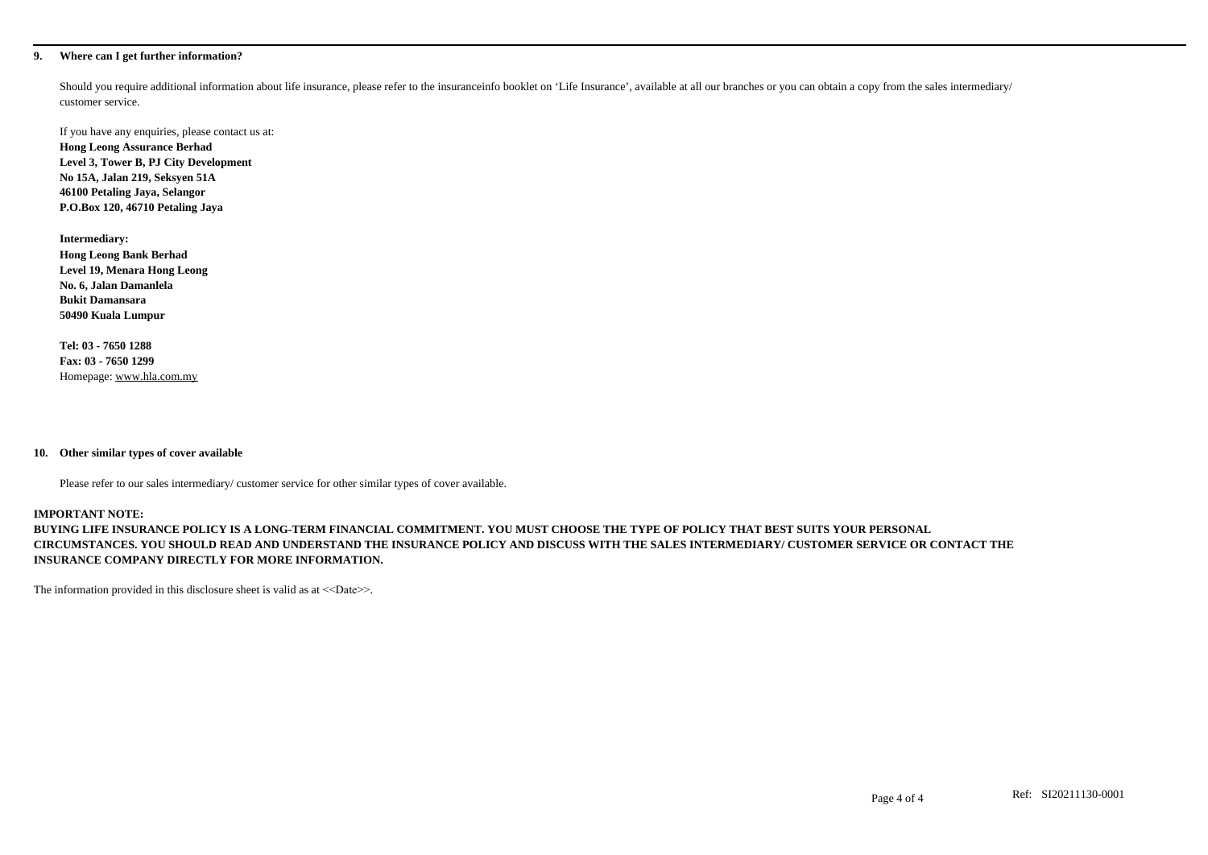**9.** Where can I get further information?<br>Should you require additional information about life insurance, customer service. Should you require additional information about life insurance, please refer to the insuranceinfo booklet on 'Life Insurance', available at all our branches or you can obtain a copy from the sales intermediary/ customer service.

If you have any enquiries, please contact us at: **Hong Leong Assurance Berhad Level 3, Tower B, PJ City Development No 15A, Jalan 219, Seksyen 51A 46100 Petaling Jaya, Selangor P.O.Box 120, 46710 Petaling Jaya**

**Intermediary: Hong Leong Bank Berhad Level 19, Menara Hong Leong No. 6, Jalan Damanlela Bukit Damansara 50490 Kuala Lumpur** No. 6, Jalan Damanlela<br>
Bukit Damansara<br>
50490 Kuala Lumpur<br>
Tel: 03 - 7650 1288<br>
Fax: 03 - 7650 1299<br>
Homepage: www.hla.com.my<br>
10. Other similar types of cover available<br>
Please refer to our sales intermediary/ customer

**Tel: 03 - 7650 1288 Fax: 03 - 7650 1299** Homepage: www.hla.com.my

Please refer to our sales intermediary/ customer service for other similar types of cover available.

### **IMPORTANT NOTE:**

**BUYING LIFE INSURANCE POLICY IS A LONG-TERM FINANCIAL COMMITMENT. YOU MUST CHOOSE THE TYPE OF POLICY THAT BEST SUITS YOUR PERSONAL CIRCUMSTANCES. YOU SHOULD READ AND UNDERSTAND THE INSURANCE POLICY AND DISCUSS WITH THE SALES INTERMEDIARY/ CUSTOMER SERVICE OR CONTACT THE INSURANCE COMPANY DIRECTLY FOR MORE INFORMATION.**

The information provided in this disclosure sheet is valid as at <<Date>>.